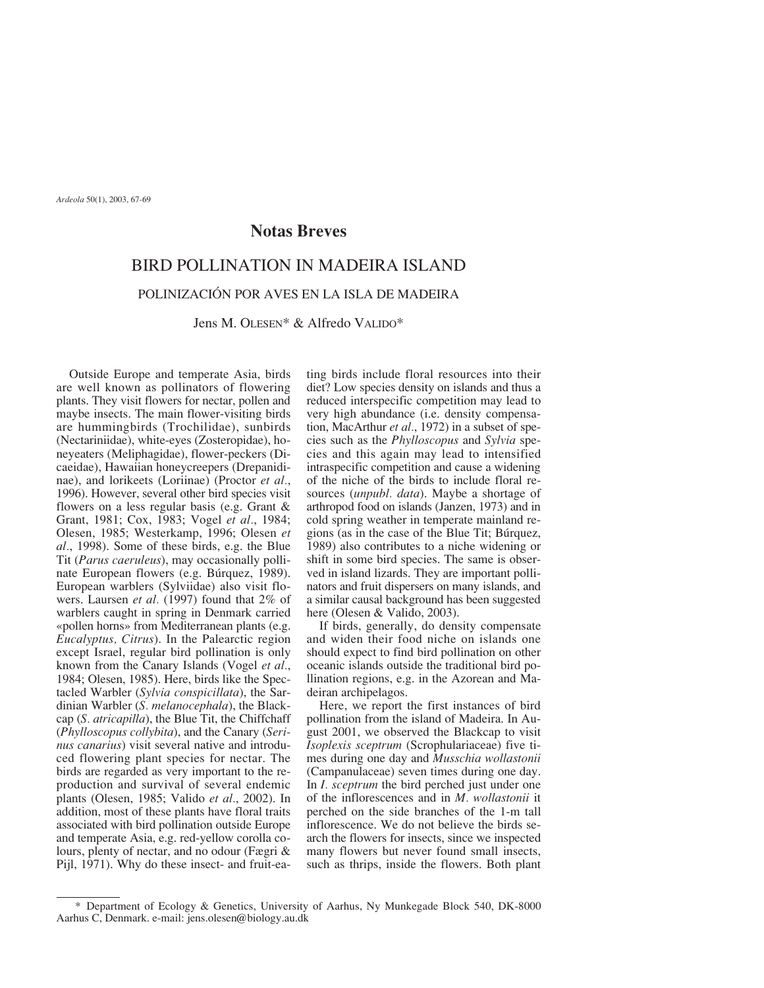## **Notas Breves**

## BIRD POLLINATION IN MADEIRA ISLAND

## POLINIZACIÓN POR AVES EN LA ISLA DE MADEIRA

Jens M. OLESEN\* & Alfredo VALIDO\*

Outside Europe and temperate Asia, birds are well known as pollinators of flowering plants. They visit flowers for nectar, pollen and maybe insects. The main flower-visiting birds are hummingbirds (Trochilidae), sunbirds (Nectariniidae), white-eyes (Zosteropidae), honeyeaters (Meliphagidae), flower-peckers (Dicaeidae), Hawaiian honeycreepers (Drepanidinae), and lorikeets (Loriinae) (Proctor *et al.*, 1996). However, several other bird species visit flowers on a less regular basis (e.g. Grant & Grant, 1981; Cox, 1983; Vogel *et al.*, 1984; Olesen, 1985; Westerkamp, 1996; Olesen *et al.*, 1998). Some of these birds, e.g. the Blue Tit (*Parus caeruleus*), may occasionally pollinate European flowers (e.g. Búrquez, 1989). European warblers (Sylviidae) also visit flowers. Laursen *et al.* (1997) found that 2% of warblers caught in spring in Denmark carried «pollen horns» from Mediterranean plants (e.g. *Eucalyptus, Citrus*). In the Palearctic region except Israel, regular bird pollination is only known from the Canary Islands (Vogel *et al.*, 1984; Olesen, 1985). Here, birds like the Spectacled Warbler (*Sylvia conspicillata*), the Sardinian Warbler (*S. melanocephala*), the Blackcap (*S. atricapilla*), the Blue Tit, the Chiffchaff (*Phylloscopus collybita*), and the Canary (*Serinus canarius*) visit several native and introduced flowering plant species for nectar. The birds are regarded as very important to the reproduction and survival of several endemic plants (Olesen, 1985; Valido *et al.*, 2002). In addition, most of these plants have floral traits associated with bird pollination outside Europe and temperate Asia, e.g. red-yellow corolla colours, plenty of nectar, and no odour (Fægri & Pijl, 1971). Why do these insect- and fruit-eating birds include floral resources into their diet? Low species density on islands and thus a reduced interspecific competition may lead to very high abundance (i.e. density compensation, MacArthur *et al.*, 1972) in a subset of species such as the *Phylloscopus* and *Sylvia* species and this again may lead to intensified intraspecific competition and cause a widening of the niche of the birds to include floral resources (*unpubl. data*). Maybe a shortage of arthropod food on islands (Janzen, 1973) and in cold spring weather in temperate mainland regions (as in the case of the Blue Tit; Búrquez, 1989) also contributes to a niche widening or shift in some bird species. The same is observed in island lizards. They are important pollinators and fruit dispersers on many islands, and a similar causal background has been suggested here (Olesen & Valido, 2003).

If birds, generally, do density compensate and widen their food niche on islands one should expect to find bird pollination on other oceanic islands outside the traditional bird pollination regions, e.g. in the Azorean and Madeiran archipelagos.

Here, we report the first instances of bird pollination from the island of Madeira. In August 2001, we observed the Blackcap to visit *Isoplexis sceptrum* (Scrophulariaceae) five times during one day and *Musschia wollastonii* (Campanulaceae) seven times during one day. In *I. sceptrum* the bird perched just under one of the inflorescences and in *M. wollastonii* it perched on the side branches of the 1-m tall inflorescence. We do not believe the birds search the flowers for insects, since we inspected many flowers but never found small insects, such as thrips, inside the flowers. Both plant

<sup>\*</sup> Department of Ecology & Genetics, University of Aarhus, Ny Munkegade Block 540, DK-8000 Aarhus C, Denmark. e-mail: jens.olesen@biology.au.dk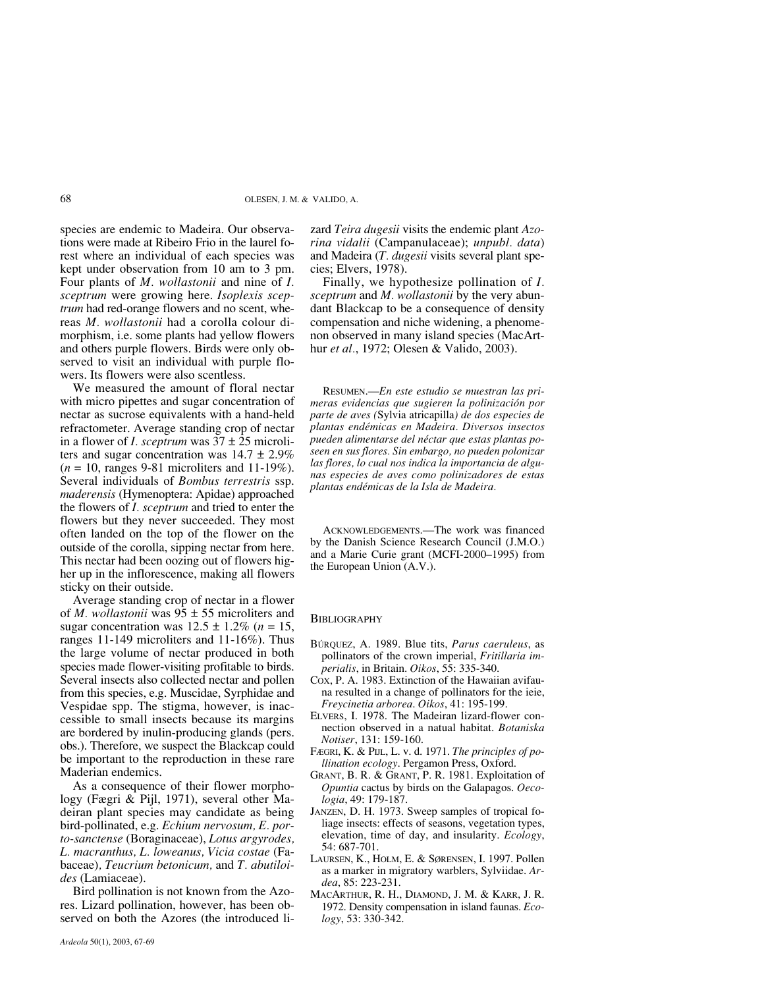species are endemic to Madeira. Our observations were made at Ribeiro Frio in the laurel forest where an individual of each species was kept under observation from 10 am to 3 pm. Four plants of *M. wollastonii* and nine of *I. sceptrum* were growing here. *Isoplexis sceptrum* had red-orange flowers and no scent, whereas *M. wollastonii* had a corolla colour dimorphism, i.e. some plants had yellow flowers and others purple flowers. Birds were only observed to visit an individual with purple flowers. Its flowers were also scentless.

We measured the amount of floral nectar with micro pipettes and sugar concentration of nectar as sucrose equivalents with a hand-held refractometer. Average standing crop of nectar in a flower of *I. sceptrum* was 37 ± 25 microliters and sugar concentration was  $14.7 \pm 2.9\%$ (*n* = 10, ranges 9-81 microliters and 11-19%). Several individuals of *Bombus terrestris* ssp. *maderensis* (Hymenoptera: Apidae) approached the flowers of *I. sceptrum* and tried to enter the flowers but they never succeeded. They most often landed on the top of the flower on the outside of the corolla, sipping nectar from here. This nectar had been oozing out of flowers higher up in the inflorescence, making all flowers sticky on their outside.

Average standing crop of nectar in a flower of *M. wollastonii* was 95 ± 55 microliters and sugar concentration was  $12.5 \pm 1.2\%$  ( $n = 15$ , ranges 11-149 microliters and 11-16%). Thus the large volume of nectar produced in both species made flower-visiting profitable to birds. Several insects also collected nectar and pollen from this species, e.g. Muscidae, Syrphidae and Vespidae spp. The stigma, however, is inaccessible to small insects because its margins are bordered by inulin-producing glands (pers. obs.). Therefore, we suspect the Blackcap could be important to the reproduction in these rare Maderian endemics.

As a consequence of their flower morphology (Fægri & Pijl, 1971), several other Madeiran plant species may candidate as being bird-pollinated, e.g. *Echium nervosum, E. porto-sanctense* (Boraginaceae), *Lotus argyrodes, L. macranthus, L. loweanus, Vicia costae* (Fabaceae)*, Teucrium betonicum,* and *T. abutiloides* (Lamiaceae).

Bird pollination is not known from the Azores. Lizard pollination, however, has been observed on both the Azores (the introduced lizard *Teira dugesii* visits the endemic plant *Azorina vidalii* (Campanulaceae); *unpubl. data*) and Madeira (*T. dugesii* visits several plant species; Elvers, 1978).

Finally, we hypothesize pollination of *I. sceptrum* and *M. wollastonii* by the very abundant Blackcap to be a consequence of density compensation and niche widening, a phenomenon observed in many island species (MacArthur *et al.*, 1972; Olesen & Valido, 2003).

RESUMEN.—*En este estudio se muestran las primeras evidencias que sugieren la polinización por parte de aves (*Sylvia atricapilla*) de dos especies de plantas endémicas en Madeira. Diversos insectos pueden alimentarse del néctar que estas plantas poseen en sus flores. Sin embargo, no pueden polonizar las flores, lo cual nos indica la importancia de algunas especies de aves como polinizadores de estas plantas endémicas de la Isla de Madeira.*

ACKNOWLEDGEMENTS.—The work was financed by the Danish Science Research Council (J.M.O.) and a Marie Curie grant (MCFI-2000–1995) from the European Union (A.V.).

## **BIBLIOGRAPHY**

- BÚRQUEZ, A. 1989. Blue tits, *Parus caeruleus*, as pollinators of the crown imperial, *Fritillaria imperialis*, in Britain. *Oikos*, 55: 335-340.
- COX, P. A. 1983. Extinction of the Hawaiian avifauna resulted in a change of pollinators for the ieie, *Freycinetia arborea*. *Oikos*, 41: 195-199.
- ELVERS, I. 1978. The Madeiran lizard-flower connection observed in a natual habitat. *Botaniska Notiser*, 131: 159-160.
- FÆGRI, K. & PIJL, L. v. d. 1971. *The principles of pollination ecology*. Pergamon Press, Oxford.
- GRANT, B. R. & GRANT, P. R. 1981. Exploitation of *Opuntia* cactus by birds on the Galapagos. *Oecologia*, 49: 179-187.
- JANZEN, D. H. 1973. Sweep samples of tropical foliage insects: effects of seasons, vegetation types, elevation, time of day, and insularity. *Ecology*, 54: 687-701.
- LAURSEN, K., HOLM, E. & SØRENSEN, I. 1997. Pollen as a marker in migratory warblers, Sylviidae. *Ardea*, 85: 223-231.
- MACARTHUR, R. H., DIAMOND, J. M. & KARR, J. R. 1972. Density compensation in island faunas. *Ecology*, 53: 330-342.